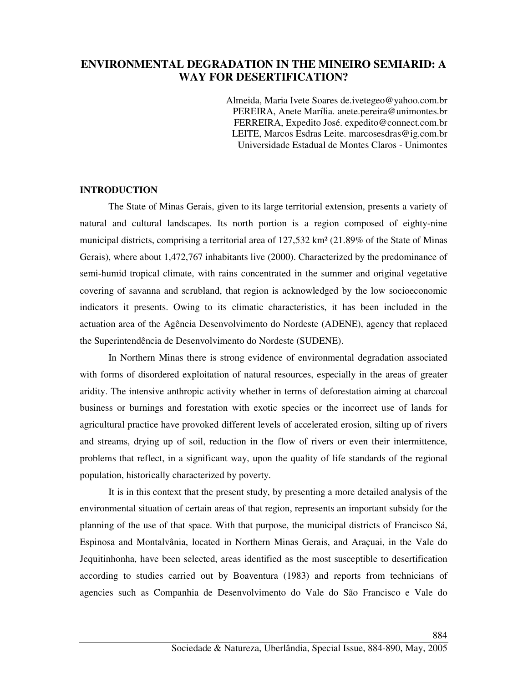# **ENVIRONMENTAL DEGRADATION IN THE MINEIRO SEMIARID: A WAY FOR DESERTIFICATION?**

Almeida, Maria Ivete Soares de.ivetegeo@yahoo.com.br PEREIRA, Anete Marília. anete.pereira@unimontes.br FERREIRA, Expedito José. expedito@connect.com.br LEITE, Marcos Esdras Leite. marcosesdras@ig.com.br Universidade Estadual de Montes Claros - Unimontes

# **INTRODUCTION**

 The State of Minas Gerais, given to its large territorial extension, presents a variety of natural and cultural landscapes. Its north portion is a region composed of eighty-nine municipal districts, comprising a territorial area of 127,532 km² (21.89% of the State of Minas Gerais), where about 1,472,767 inhabitants live (2000). Characterized by the predominance of semi-humid tropical climate, with rains concentrated in the summer and original vegetative covering of savanna and scrubland, that region is acknowledged by the low socioeconomic indicators it presents. Owing to its climatic characteristics, it has been included in the actuation area of the Agência Desenvolvimento do Nordeste (ADENE), agency that replaced the Superintendência de Desenvolvimento do Nordeste (SUDENE).

 In Northern Minas there is strong evidence of environmental degradation associated with forms of disordered exploitation of natural resources, especially in the areas of greater aridity. The intensive anthropic activity whether in terms of deforestation aiming at charcoal business or burnings and forestation with exotic species or the incorrect use of lands for agricultural practice have provoked different levels of accelerated erosion, silting up of rivers and streams, drying up of soil, reduction in the flow of rivers or even their intermittence, problems that reflect, in a significant way, upon the quality of life standards of the regional population, historically characterized by poverty.

 It is in this context that the present study, by presenting a more detailed analysis of the environmental situation of certain areas of that region, represents an important subsidy for the planning of the use of that space. With that purpose, the municipal districts of Francisco Sá, Espinosa and Montalvânia, located in Northern Minas Gerais, and Araçuai, in the Vale do Jequitinhonha, have been selected, areas identified as the most susceptible to desertification according to studies carried out by Boaventura (1983) and reports from technicians of agencies such as Companhia de Desenvolvimento do Vale do São Francisco e Vale do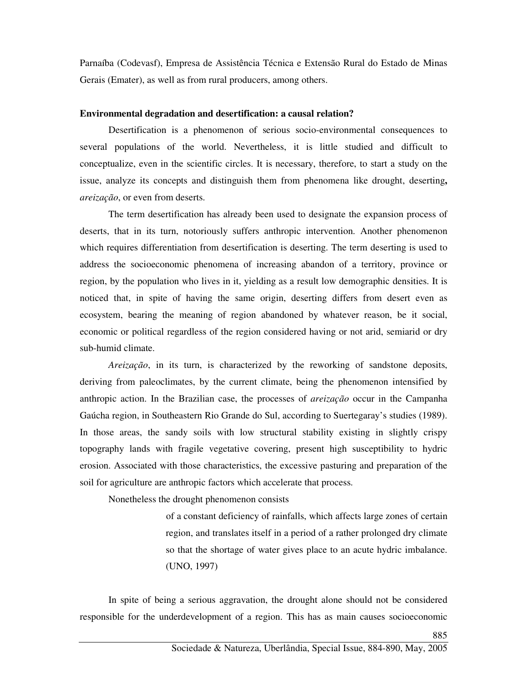Parnaíba (Codevasf), Empresa de Assistência Técnica e Extensão Rural do Estado de Minas Gerais (Emater), as well as from rural producers, among others.

#### **Environmental degradation and desertification: a causal relation?**

 Desertification is a phenomenon of serious socio-environmental consequences to several populations of the world. Nevertheless, it is little studied and difficult to conceptualize, even in the scientific circles. It is necessary, therefore, to start a study on the issue, analyze its concepts and distinguish them from phenomena like drought, deserting**,**  *areização*, or even from deserts.

 The term desertification has already been used to designate the expansion process of deserts, that in its turn, notoriously suffers anthropic intervention. Another phenomenon which requires differentiation from desertification is deserting. The term deserting is used to address the socioeconomic phenomena of increasing abandon of a territory, province or region, by the population who lives in it, yielding as a result low demographic densities. It is noticed that, in spite of having the same origin, deserting differs from desert even as ecosystem, bearing the meaning of region abandoned by whatever reason, be it social, economic or political regardless of the region considered having or not arid, semiarid or dry sub-humid climate.

*Areização*, in its turn, is characterized by the reworking of sandstone deposits, deriving from paleoclimates, by the current climate, being the phenomenon intensified by anthropic action. In the Brazilian case, the processes of *areização* occur in the Campanha Gaúcha region, in Southeastern Rio Grande do Sul, according to Suertegaray's studies (1989). In those areas, the sandy soils with low structural stability existing in slightly crispy topography lands with fragile vegetative covering, present high susceptibility to hydric erosion. Associated with those characteristics, the excessive pasturing and preparation of the soil for agriculture are anthropic factors which accelerate that process.

Nonetheless the drought phenomenon consists

of a constant deficiency of rainfalls, which affects large zones of certain region, and translates itself in a period of a rather prolonged dry climate so that the shortage of water gives place to an acute hydric imbalance. (UNO, 1997)

 In spite of being a serious aggravation, the drought alone should not be considered responsible for the underdevelopment of a region. This has as main causes socioeconomic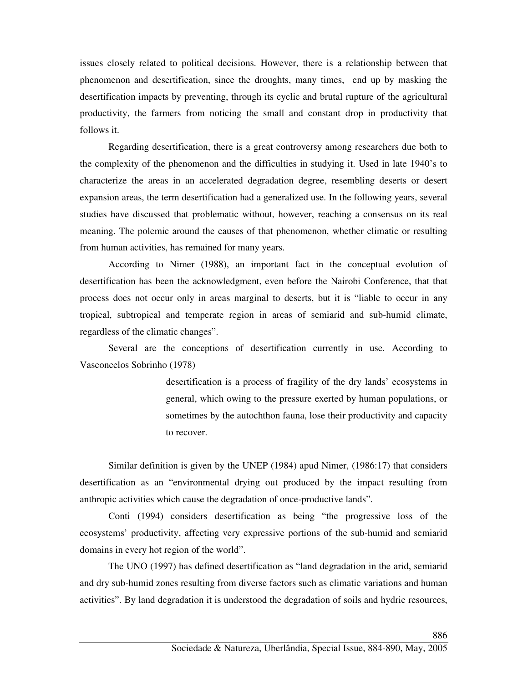issues closely related to political decisions. However, there is a relationship between that phenomenon and desertification, since the droughts, many times, end up by masking the desertification impacts by preventing, through its cyclic and brutal rupture of the agricultural productivity, the farmers from noticing the small and constant drop in productivity that follows it.

 Regarding desertification, there is a great controversy among researchers due both to the complexity of the phenomenon and the difficulties in studying it. Used in late 1940's to characterize the areas in an accelerated degradation degree, resembling deserts or desert expansion areas, the term desertification had a generalized use. In the following years, several studies have discussed that problematic without, however, reaching a consensus on its real meaning. The polemic around the causes of that phenomenon, whether climatic or resulting from human activities, has remained for many years.

 According to Nimer (1988), an important fact in the conceptual evolution of desertification has been the acknowledgment, even before the Nairobi Conference, that that process does not occur only in areas marginal to deserts, but it is "liable to occur in any tropical, subtropical and temperate region in areas of semiarid and sub-humid climate, regardless of the climatic changes".

 Several are the conceptions of desertification currently in use. According to Vasconcelos Sobrinho (1978)

> desertification is a process of fragility of the dry lands' ecosystems in general, which owing to the pressure exerted by human populations, or sometimes by the autochthon fauna, lose their productivity and capacity to recover.

 Similar definition is given by the UNEP (1984) apud Nimer, (1986:17) that considers desertification as an "environmental drying out produced by the impact resulting from anthropic activities which cause the degradation of once-productive lands".

 Conti (1994) considers desertification as being "the progressive loss of the ecosystems' productivity, affecting very expressive portions of the sub-humid and semiarid domains in every hot region of the world".

 The UNO (1997) has defined desertification as "land degradation in the arid, semiarid and dry sub-humid zones resulting from diverse factors such as climatic variations and human activities". By land degradation it is understood the degradation of soils and hydric resources,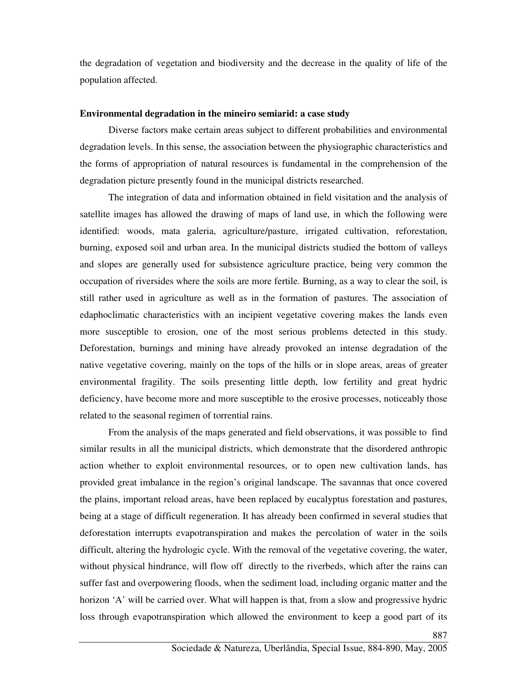the degradation of vegetation and biodiversity and the decrease in the quality of life of the population affected.

## **Environmental degradation in the mineiro semiarid: a case study**

Diverse factors make certain areas subject to different probabilities and environmental degradation levels. In this sense, the association between the physiographic characteristics and the forms of appropriation of natural resources is fundamental in the comprehension of the degradation picture presently found in the municipal districts researched.

 The integration of data and information obtained in field visitation and the analysis of satellite images has allowed the drawing of maps of land use, in which the following were identified: woods, mata galeria, agriculture/pasture, irrigated cultivation, reforestation, burning, exposed soil and urban area. In the municipal districts studied the bottom of valleys and slopes are generally used for subsistence agriculture practice, being very common the occupation of riversides where the soils are more fertile. Burning, as a way to clear the soil, is still rather used in agriculture as well as in the formation of pastures. The association of edaphoclimatic characteristics with an incipient vegetative covering makes the lands even more susceptible to erosion, one of the most serious problems detected in this study. Deforestation, burnings and mining have already provoked an intense degradation of the native vegetative covering, mainly on the tops of the hills or in slope areas, areas of greater environmental fragility. The soils presenting little depth, low fertility and great hydric deficiency, have become more and more susceptible to the erosive processes, noticeably those related to the seasonal regimen of torrential rains.

 From the analysis of the maps generated and field observations, it was possible to find similar results in all the municipal districts, which demonstrate that the disordered anthropic action whether to exploit environmental resources, or to open new cultivation lands, has provided great imbalance in the region's original landscape. The savannas that once covered the plains, important reload areas, have been replaced by eucalyptus forestation and pastures, being at a stage of difficult regeneration. It has already been confirmed in several studies that deforestation interrupts evapotranspiration and makes the percolation of water in the soils difficult, altering the hydrologic cycle. With the removal of the vegetative covering, the water, without physical hindrance, will flow off directly to the riverbeds, which after the rains can suffer fast and overpowering floods, when the sediment load, including organic matter and the horizon 'A' will be carried over. What will happen is that, from a slow and progressive hydric loss through evapotranspiration which allowed the environment to keep a good part of its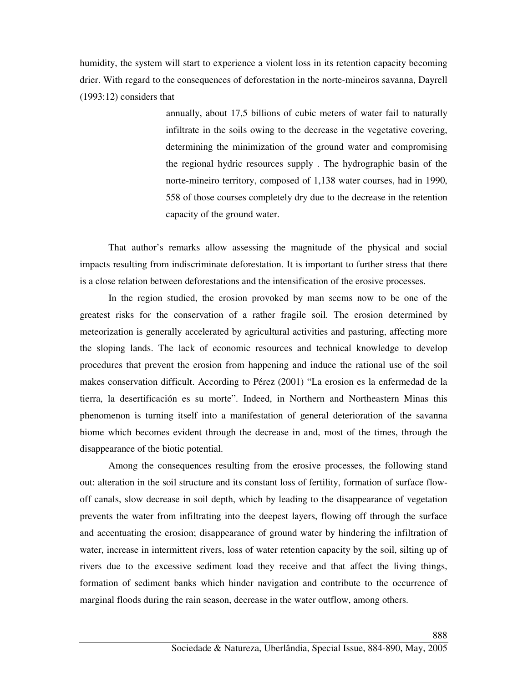humidity, the system will start to experience a violent loss in its retention capacity becoming drier. With regard to the consequences of deforestation in the norte-mineiros savanna, Dayrell (1993:12) considers that

> annually, about 17,5 billions of cubic meters of water fail to naturally infiltrate in the soils owing to the decrease in the vegetative covering, determining the minimization of the ground water and compromising the regional hydric resources supply . The hydrographic basin of the norte-mineiro territory, composed of 1,138 water courses, had in 1990, 558 of those courses completely dry due to the decrease in the retention capacity of the ground water.

 That author's remarks allow assessing the magnitude of the physical and social impacts resulting from indiscriminate deforestation. It is important to further stress that there is a close relation between deforestations and the intensification of the erosive processes.

 In the region studied, the erosion provoked by man seems now to be one of the greatest risks for the conservation of a rather fragile soil. The erosion determined by meteorization is generally accelerated by agricultural activities and pasturing, affecting more the sloping lands. The lack of economic resources and technical knowledge to develop procedures that prevent the erosion from happening and induce the rational use of the soil makes conservation difficult. According to Pérez (2001) "La erosion es la enfermedad de la tierra, la desertificación es su morte". Indeed, in Northern and Northeastern Minas this phenomenon is turning itself into a manifestation of general deterioration of the savanna biome which becomes evident through the decrease in and, most of the times, through the disappearance of the biotic potential.

 Among the consequences resulting from the erosive processes, the following stand out: alteration in the soil structure and its constant loss of fertility, formation of surface flowoff canals, slow decrease in soil depth, which by leading to the disappearance of vegetation prevents the water from infiltrating into the deepest layers, flowing off through the surface and accentuating the erosion; disappearance of ground water by hindering the infiltration of water, increase in intermittent rivers, loss of water retention capacity by the soil, silting up of rivers due to the excessive sediment load they receive and that affect the living things, formation of sediment banks which hinder navigation and contribute to the occurrence of marginal floods during the rain season, decrease in the water outflow, among others.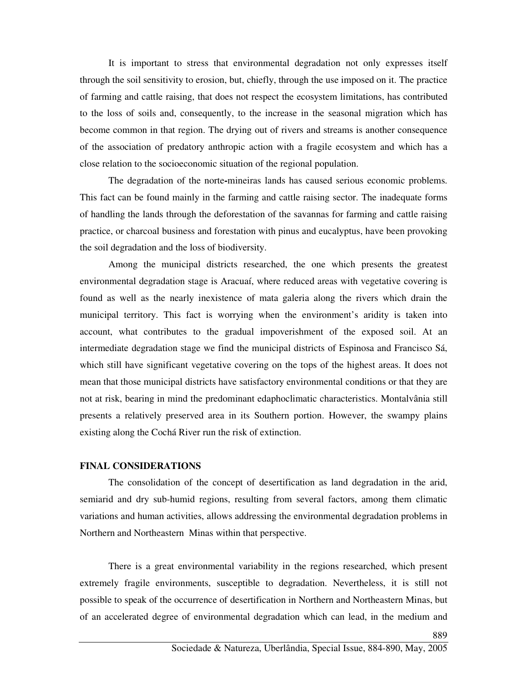It is important to stress that environmental degradation not only expresses itself through the soil sensitivity to erosion, but, chiefly, through the use imposed on it. The practice of farming and cattle raising, that does not respect the ecosystem limitations, has contributed to the loss of soils and, consequently, to the increase in the seasonal migration which has become common in that region. The drying out of rivers and streams is another consequence of the association of predatory anthropic action with a fragile ecosystem and which has a close relation to the socioeconomic situation of the regional population.

 The degradation of the norte**-**mineiras lands has caused serious economic problems. This fact can be found mainly in the farming and cattle raising sector. The inadequate forms of handling the lands through the deforestation of the savannas for farming and cattle raising practice, or charcoal business and forestation with pinus and eucalyptus, have been provoking the soil degradation and the loss of biodiversity.

 Among the municipal districts researched, the one which presents the greatest environmental degradation stage is Aracuaí, where reduced areas with vegetative covering is found as well as the nearly inexistence of mata galeria along the rivers which drain the municipal territory. This fact is worrying when the environment's aridity is taken into account, what contributes to the gradual impoverishment of the exposed soil. At an intermediate degradation stage we find the municipal districts of Espinosa and Francisco Sá, which still have significant vegetative covering on the tops of the highest areas. It does not mean that those municipal districts have satisfactory environmental conditions or that they are not at risk, bearing in mind the predominant edaphoclimatic characteristics. Montalvânia still presents a relatively preserved area in its Southern portion. However, the swampy plains existing along the Cochá River run the risk of extinction.

## **FINAL CONSIDERATIONS**

 The consolidation of the concept of desertification as land degradation in the arid, semiarid and dry sub-humid regions, resulting from several factors, among them climatic variations and human activities, allows addressing the environmental degradation problems in Northern and Northeastern Minas within that perspective.

 There is a great environmental variability in the regions researched, which present extremely fragile environments, susceptible to degradation. Nevertheless, it is still not possible to speak of the occurrence of desertification in Northern and Northeastern Minas, but of an accelerated degree of environmental degradation which can lead, in the medium and